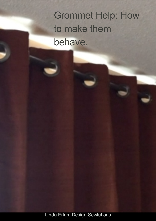# Grommet Help: How to make them behave.

Linda Erlam Design Sewlutions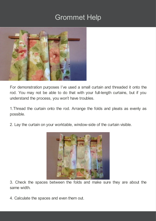

For demonstration purposes I've used a small curtain and threaded it onto the rod. You may not be able to do that with your full-length curtains, but if you understand the process, you won't have troubles.

1.Thread the curtain onto the rod. Arrange the folds and pleats as evenly as possible.

2. Lay the curtain on your worktable, window-side of the curtain visible.



3. Check the spaces between the folds and make sure they are about the same width.

4. Calculate the spaces and even them out.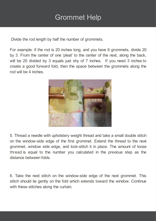Divide the rod length by half the number of grommets.

For example: if the rod is 20 inches long, and you have 6 grommets, divide 20 by 3. From the center of one 'pleat' to the center of the next, along the back, will be 20 divided by 3 equals just shy of 7 inches. If you need 3 inches to create a good forward fold, then the space between the grommets along the rod will be 4 inches.



5. Thread a needle with upholstery weight thread and take a small double stitch on the window-side edge of the first grommet. Extend the thread to the next grommet, window side edge, and lock-stitch it in place. The amount of loose thread is equal to the number you calculated in the previous step as the distance between folds.

6. Take the next stitch on the window-side edge of the next grommet. This stitch should lie gently on the fold which extends toward the window. Continue with these stitches along the curtain.